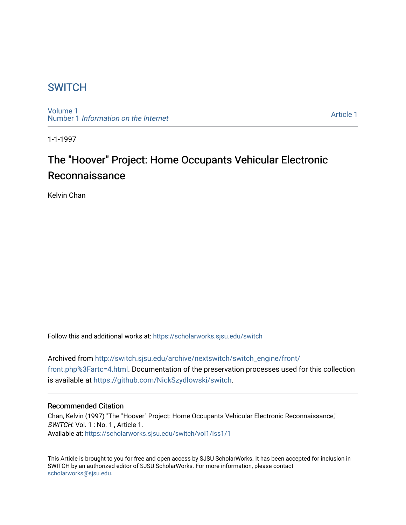## **SWITCH**

[Volume 1](https://scholarworks.sjsu.edu/switch/vol1) Number 1 [Information on the Internet](https://scholarworks.sjsu.edu/switch/vol1/iss1) 

[Article 1](https://scholarworks.sjsu.edu/switch/vol1/iss1/1) 

1-1-1997

# The "Hoover" Project: Home Occupants Vehicular Electronic Reconnaissance

Kelvin Chan

Follow this and additional works at: [https://scholarworks.sjsu.edu/switch](https://scholarworks.sjsu.edu/switch?utm_source=scholarworks.sjsu.edu%2Fswitch%2Fvol1%2Fiss1%2F1&utm_medium=PDF&utm_campaign=PDFCoverPages)

Archived from [http://switch.sjsu.edu/archive/nextswitch/switch\\_engine/front/](http://switch.sjsu.edu/archive/nextswitch/switch_engine/front/front.php%3Fartc=4.html) [front.php%3Fartc=4.html](http://switch.sjsu.edu/archive/nextswitch/switch_engine/front/front.php%3Fartc=4.html). Documentation of the preservation processes used for this collection is available at<https://github.com/NickSzydlowski/switch>.

#### Recommended Citation

Chan, Kelvin (1997) "The "Hoover" Project: Home Occupants Vehicular Electronic Reconnaissance," SWITCH: Vol. 1 : No. 1 , Article 1. Available at: [https://scholarworks.sjsu.edu/switch/vol1/iss1/1](https://scholarworks.sjsu.edu/switch/vol1/iss1/1?utm_source=scholarworks.sjsu.edu%2Fswitch%2Fvol1%2Fiss1%2F1&utm_medium=PDF&utm_campaign=PDFCoverPages)

This Article is brought to you for free and open access by SJSU ScholarWorks. It has been accepted for inclusion in SWITCH by an authorized editor of SJSU ScholarWorks. For more information, please contact [scholarworks@sjsu.edu](mailto:scholarworks@sjsu.edu).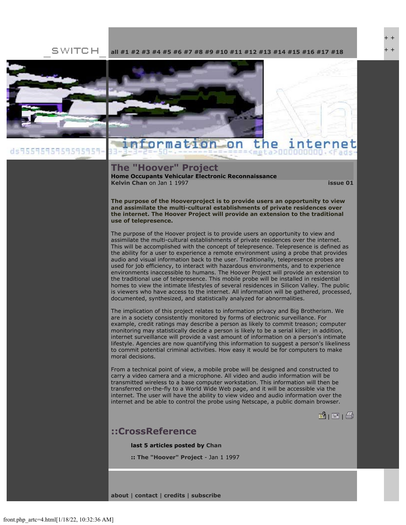SWITCH **[all](file:///Users/nszydlowski/Desktop/websites%20copy/Switch%20Journal/switch.sjsu.edu/archive/nextswitch/switch_engine/front/front.php.html) [#1](file:///Users/nszydlowski/Desktop/websites%20copy/Switch%20Journal/switch.sjsu.edu/archive/nextswitch/switch_engine/front/front.php_cat%3d5.html) [#2](file:///Users/nszydlowski/Desktop/websites%20copy/Switch%20Journal/switch.sjsu.edu/archive/nextswitch/switch_engine/front/front.php_cat%3d6.html) [#3](file:///Users/nszydlowski/Desktop/websites%20copy/Switch%20Journal/switch.sjsu.edu/archive/nextswitch/switch_engine/front/front.php_cat%3d7.html) [#4](file:///Users/nszydlowski/Desktop/websites%20copy/Switch%20Journal/switch.sjsu.edu/archive/nextswitch/switch_engine/front/front.php_cat%3d8.html) [#5](file:///Users/nszydlowski/Desktop/websites%20copy/Switch%20Journal/switch.sjsu.edu/archive/nextswitch/switch_engine/front/front.php_cat%3d9.html) [#6](file:///Users/nszydlowski/Desktop/websites%20copy/Switch%20Journal/switch.sjsu.edu/archive/nextswitch/switch_engine/front/front.php_cat%3d10.html) [#7](file:///Users/nszydlowski/Desktop/websites%20copy/Switch%20Journal/switch.sjsu.edu/archive/nextswitch/switch_engine/front/front.php_cat%3d11.html) [#8](file:///Users/nszydlowski/Desktop/websites%20copy/Switch%20Journal/switch.sjsu.edu/archive/nextswitch/switch_engine/front/front.php_cat%3d12.html) [#9](file:///Users/nszydlowski/Desktop/websites%20copy/Switch%20Journal/switch.sjsu.edu/archive/nextswitch/switch_engine/front/front.php_cat%3d13.html) [#10](file:///Users/nszydlowski/Desktop/websites%20copy/Switch%20Journal/switch.sjsu.edu/archive/nextswitch/switch_engine/front/front.php_cat%3d14.html) [#11](file:///Users/nszydlowski/Desktop/websites%20copy/Switch%20Journal/switch.sjsu.edu/archive/nextswitch/switch_engine/front/front.php_cat%3d15.html) [#12](file:///Users/nszydlowski/Desktop/websites%20copy/Switch%20Journal/switch.sjsu.edu/archive/nextswitch/switch_engine/front/front.php_cat%3d16.html) [#13](file:///Users/nszydlowski/Desktop/websites%20copy/Switch%20Journal/switch.sjsu.edu/archive/nextswitch/switch_engine/front/front.php_cat%3d17.html) [#14](file:///Users/nszydlowski/Desktop/websites%20copy/Switch%20Journal/switch.sjsu.edu/archive/nextswitch/switch_engine/front/front.php_cat%3d18.html) [#15](file:///Users/nszydlowski/Desktop/websites%20copy/Switch%20Journal/switch.sjsu.edu/archive/nextswitch/switch_engine/front/front.php_cat%3d19.html) [#16](file:///Users/nszydlowski/Desktop/websites%20copy/Switch%20Journal/switch.sjsu.edu/archive/nextswitch/switch_engine/front/front.php_cat%3d20.html) [#17](file:///Users/nszydlowski/Desktop/websites%20copy/Switch%20Journal/switch.sjsu.edu/archive/nextswitch/switch_engine/front/front.php_cat%3d21.html) [#18](file:///Users/nszydlowski/Desktop/websites%20copy/Switch%20Journal/switch.sjsu.edu/archive/nextswitch/switch_engine/front/front.php_cat%3d44.html)**



#### information on the

#### **The "Hoover" Project**

**Home Occupants Vehicular Electronic Reconnaissance [Kelvin Chan](file:///Users/nszydlowski/Desktop/websites%20copy/Switch%20Journal/switch.sjsu.edu/archive/nextswitch/switch_engine/front/users.php_w%3d6.html)** on Jan 1 1997 **[issue 01](file:///Users/nszydlowski/Desktop/websites%20copy/Switch%20Journal/switch.sjsu.edu/archive/nextswitch/switch_engine/front/front.php_cat%3d5.html)**

+ + + +

**The purpose of the Hooverproject is to provide users an opportunity to view and assimilate the multi-cultural establishments of private residences over the internet. The Hoover Project will provide an extension to the traditional use of telepresence.** 

The purpose of the Hoover project is to provide users an opportunity to view and assimilate the multi-cultural establishments of private residences over the internet. This will be accomplished with the concept of telepresence. Telepresence is defined as the ability for a user to experience a remote environment using a probe that provides audio and visual information back to the user. Traditionally, telepresence probes are used for job efficiency, to interact with hazardous environments, and to experience environments inaccessible to humans. The Hoover Project will provide an extension to the traditional use of telepresence. This mobile probe will be installed in residential homes to view the intimate lifestyles of several residences in Silicon Valley. The public is viewers who have access to the internet. All information will be gathered, processed, documented, synthesized, and statistically analyzed for abnormalities.

The implication of this project relates to information privacy and Big Brotherism. We are in a society consistently monitored by forms of electronic surveillance. For example, credit ratings may describe a person as likely to commit treason; computer monitoring may statistically decide a person is likely to be a serial killer; in addition, internet surveillance will provide a vast amount of information on a person's intimate lifestyle. Agencies are now quantifying this information to suggest a person's likeliness to commit potential criminal activities. How easy it would be for computers to make moral decisions.

From a technical point of view, a mobile probe will be designed and constructed to carry a video camera and a microphone. All video and audio information will be transmitted wireless to a base computer workstation. This information will then be transferred on-the-fly to a World Wide Web page, and it will be accessible via the internet. The user will have the ability to view video and audio information over the internet and be able to control the probe using Netscape, a public domain browser.

 $| \mathbf{B} |$   $| \mathbf{B} |$   $| \mathbf{B} |$ 

### **::CrossReference**

**last 5 articles posted by [Chan](file:///Users/nszydlowski/Desktop/websites%20copy/Switch%20Journal/switch.sjsu.edu/archive/nextswitch/switch_engine/front/users.php_w%3d6.html)**

**:: [The "Hoover" Project](file:///Users/nszydlowski/Desktop/websites%20copy/Switch%20Journal/switch.sjsu.edu/archive/nextswitch/switch_engine/front/front.php_artc%3d4.html)** - Jan 1 1997

**[about](file:///Users/nszydlowski/Desktop/websites%20copy/Switch%20Journal/switch.sjsu.edu/archive/nextswitch/switch_engine/front/front.php_artc%3d89.html)** | **[contact](file:///Users/nszydlowski/Desktop/websites%20copy/Switch%20Journal/switch.sjsu.edu/archive/nextswitch/switch_engine/front/front.php_artc%3d96.html)** | **[credits](file:///Users/nszydlowski/Desktop/websites%20copy/Switch%20Journal/switch.sjsu.edu/archive/nextswitch/switch_engine/front/front.php_artc%3d292.html)** | **[subscribe](file:///Users/nszydlowski/Desktop/websites%20copy/Switch%20Journal/switch.sjsu.edu/archive/nextswitch/switch_engine/front/subscribe.php.html)**

ds9559595959595959-